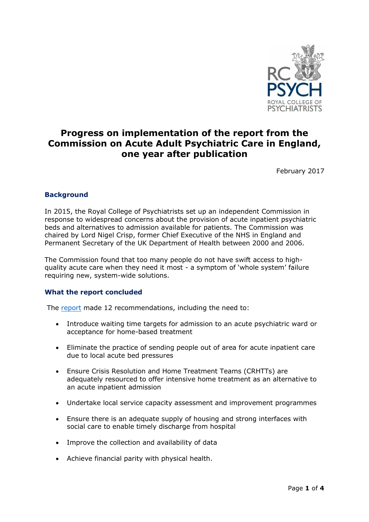

# **Progress on implementation of the report from the Commission on Acute Adult Psychiatric Care in England, one year after publication**

February 2017

# **Background**

In 2015, the Royal College of Psychiatrists set up an independent Commission in response to widespread concerns about the provision of acute inpatient psychiatric beds and alternatives to admission available for patients. The Commission was chaired by Lord Nigel Crisp, former Chief Executive of the NHS in England and Permanent Secretary of the UK Department of Health between 2000 and 2006.

The Commission found that too many people do not have swift access to highquality acute care when they need it most - a symptom of 'whole system' failure requiring new, system-wide solutions.

## **What the report concluded**

The [report](http://www.rcpsych.ac.uk/pdf/Old_Problems_New_Solutions_CAAPC_Report_England.pdf) made 12 recommendations, including the need to:

- Introduce waiting time targets for admission to an acute psychiatric ward or acceptance for home-based treatment
- Eliminate the practice of sending people out of area for acute inpatient care due to local acute bed pressures
- Ensure Crisis Resolution and Home Treatment Teams (CRHTTs) are adequately resourced to offer intensive home treatment as an alternative to an acute inpatient admission
- Undertake local service capacity assessment and improvement programmes
- Ensure there is an adequate supply of housing and strong interfaces with social care to enable timely discharge from hospital
- Improve the collection and availability of data
- Achieve financial parity with physical health.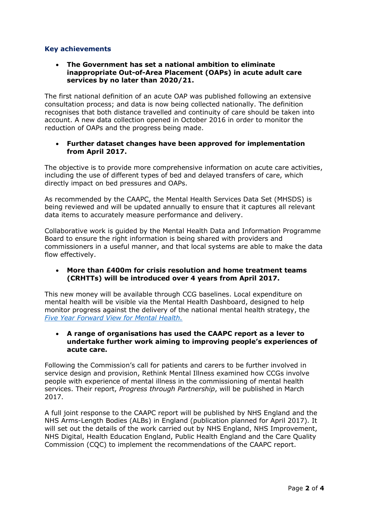## **Key achievements**

## **The Government has set a national ambition to eliminate inappropriate Out-of-Area Placement (OAPs) in acute adult care services by no later than 2020/21.**

The first national definition of an acute OAP was published following an extensive consultation process; and data is now being collected nationally. The definition recognises that both distance travelled and continuity of care should be taken into account. A new data collection opened in October 2016 in order to monitor the reduction of OAPs and the progress being made.

#### **Further dataset changes have been approved for implementation from April 2017.**

The objective is to provide more comprehensive information on acute care activities, including the use of different types of bed and delayed transfers of care, which directly impact on bed pressures and OAPs.

As recommended by the CAAPC, the Mental Health Services Data Set (MHSDS) is being reviewed and will be updated annually to ensure that it captures all relevant data items to accurately measure performance and delivery.

Collaborative work is guided by the Mental Health Data and Information Programme Board to ensure the right information is being shared with providers and commissioners in a useful manner, and that local systems are able to make the data flow effectively.

## **More than £400m for crisis resolution and home treatment teams (CRHTTs) will be introduced over 4 years from April 2017.**

This new money will be available through CCG baselines. Local expenditure on mental health will be visible via the Mental Health Dashboard, designed to help monitor progress against the delivery of the national mental health strategy, the *[Five Year Forward View for Mental Health.](https://www.england.nhs.uk/wp-content/uploads/2016/02/Mental-Health-Taskforce-FYFV-final.pdf)*

#### **A range of organisations has used the CAAPC report as a lever to undertake further work aiming to improving people's experiences of acute care.**

Following the Commission's call for patients and carers to be further involved in service design and provision, Rethink Mental Illness examined how CCGs involve people with experience of mental illness in the commissioning of mental health services. Their report, *Progress through Partnership*, will be published in March 2017.

A full joint response to the CAAPC report will be published by NHS England and the NHS Arms-Length Bodies (ALBs) in England (publication planned for April 2017). It will set out the details of the work carried out by NHS England, NHS Improvement, NHS Digital, Health Education England, Public Health England and the Care Quality Commission (CQC) to implement the recommendations of the CAAPC report.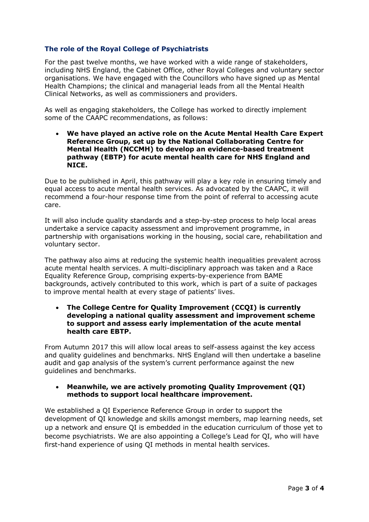# **The role of the Royal College of Psychiatrists**

For the past twelve months, we have worked with a wide range of stakeholders, including NHS England, the Cabinet Office, other Royal Colleges and voluntary sector organisations. We have engaged with the Councillors who have signed up as Mental Health Champions; the clinical and managerial leads from all the Mental Health Clinical Networks, as well as commissioners and providers.

As well as engaging stakeholders, the College has worked to directly implement some of the CAAPC recommendations, as follows:

 **We have played an active role on the Acute Mental Health Care Expert Reference Group, set up by the National Collaborating Centre for Mental Health (NCCMH) to develop an evidence-based treatment pathway (EBTP) for acute mental health care for NHS England and NICE.**

Due to be published in April, this pathway will play a key role in ensuring timely and equal access to acute mental health services. As advocated by the CAAPC, it will recommend a four-hour response time from the point of referral to accessing acute care.

It will also include quality standards and a step-by-step process to help local areas undertake a service capacity assessment and improvement programme, in partnership with organisations working in the housing, social care, rehabilitation and voluntary sector.

The pathway also aims at reducing the systemic health inequalities prevalent across acute mental health services. A multi-disciplinary approach was taken and a Race Equality Reference Group, comprising experts-by-experience from BAME backgrounds, actively contributed to this work, which is part of a suite of packages to improve mental health at every stage of patients' lives.

 **The College Centre for Quality Improvement (CCQI) is currently developing a national quality assessment and improvement scheme to support and assess early implementation of the acute mental health care EBTP.** 

From Autumn 2017 this will allow local areas to self-assess against the key access and quality guidelines and benchmarks. NHS England will then undertake a baseline audit and gap analysis of the system's current performance against the new guidelines and benchmarks.

#### **Meanwhile, we are actively promoting Quality Improvement (QI) methods to support local healthcare improvement.**

We established a QI Experience Reference Group in order to support the development of QI knowledge and skills amongst members, map learning needs, set up a network and ensure QI is embedded in the education curriculum of those yet to become psychiatrists. We are also appointing a College's Lead for QI, who will have first-hand experience of using QI methods in mental health services.